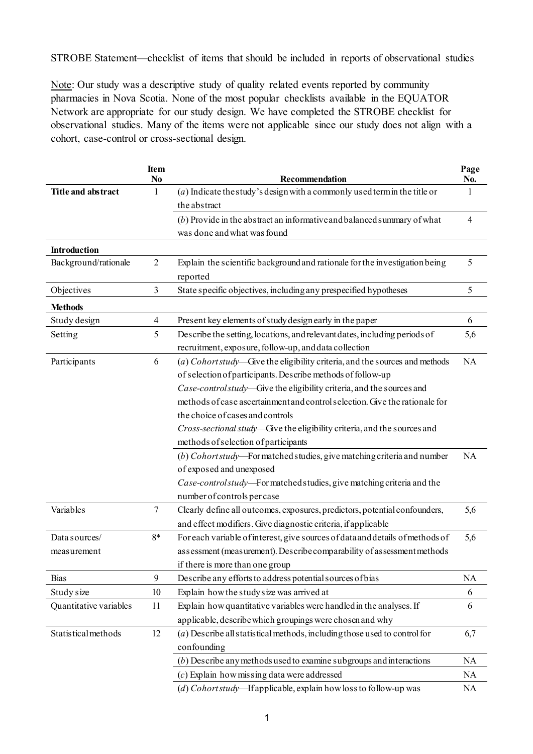STROBE Statement—checklist of items that should be included in reports of observational studies

Note: Our study was a descriptive study of quality related events reported by community pharmacies in Nova Scotia. None of the most popular checklists available in the EQUATOR Network are appropriate for our study design. We have completed the STROBE checklist for observational studies. Many of the items were not applicable since our study does not align with a cohort, case-control or cross-sectional design.

|                        | Item<br>No     | Recommendation                                                                | Page<br>No.    |
|------------------------|----------------|-------------------------------------------------------------------------------|----------------|
| Title and abstract     | 1              | $(a)$ Indicate the study's design with a commonly used term in the title or   | 1              |
|                        |                | the abstract                                                                  |                |
|                        |                | $(b)$ Provide in the abstract an informative and balanced summary of what     | $\overline{4}$ |
|                        |                | was done and what was found                                                   |                |
| Introduction           |                |                                                                               |                |
| Background/rationale   | $\overline{2}$ | Explain the scientific background and rationale for the investigation being   | 5              |
|                        |                | reported                                                                      |                |
| Objectives             | 3              | State specific objectives, including any prespecified hypotheses              | 5              |
| <b>Methods</b>         |                |                                                                               |                |
| Study design           | 4              | Present key elements of study design early in the paper                       | 6              |
| Setting                | 5              | Describe the setting, locations, and relevant dates, including periods of     | 5,6            |
|                        |                | recruitment, exposure, follow-up, and data collection                         |                |
| Participants           | 6              | (a) Cohort study—Give the eligibility criteria, and the sources and methods   | NA             |
|                        |                | of selection of participants. Describe methods of follow-up                   |                |
|                        |                | Case-control study-Give the eligibility criteria, and the sources and         |                |
|                        |                | methods of case ascertainment and control selection. Give the rationale for   |                |
|                        |                | the choice of cases and controls                                              |                |
|                        |                | Cross-sectional study-Give the eligibility criteria, and the sources and      |                |
|                        |                | methods of selection of participants                                          |                |
|                        |                | (b) Cohort study-For matched studies, give matching criteria and number       | NA             |
|                        |                | of exposed and unexposed                                                      |                |
|                        |                | Case-control study—For matched studies, give matching criteria and the        |                |
|                        |                | number of controls per case                                                   |                |
| Variables              | $\tau$         | Clearly define all outcomes, exposures, predictors, potential confounders,    | 5,6            |
|                        |                | and effect modifiers. Give diagnostic criteria, if applicable                 |                |
| Data sources/          | $8*$           | For each variable of interest, give sources of data and details of methods of | 5,6            |
| measurement            |                | assessment (measurement). Describe comparability of assessment methods        |                |
|                        |                | if there is more than one group                                               |                |
| <b>Bias</b>            | 9              | Describe any efforts to address potential sources of bias                     | <b>NA</b>      |
| Study size             | 10             | Explain how the study size was arrived at                                     | 6              |
| Quantitative variables | 11             | Explain how quantitative variables were handled in the analyses. If           | 6              |
|                        |                | applicable, describe which groupings were chosen and why                      |                |
| Statistical methods    | 12             | $(a)$ Describe all statistical methods, including those used to control for   | 6,7            |
|                        |                | confounding                                                                   |                |
|                        |                | $(b)$ Describe any methods used to examine subgroups and interactions         | <b>NA</b>      |
|                        |                | $(c)$ Explain how missing data were addressed                                 | <b>NA</b>      |
|                        |                | (d) Cohortstudy-If applicable, explain how loss to follow-up was              | <b>NA</b>      |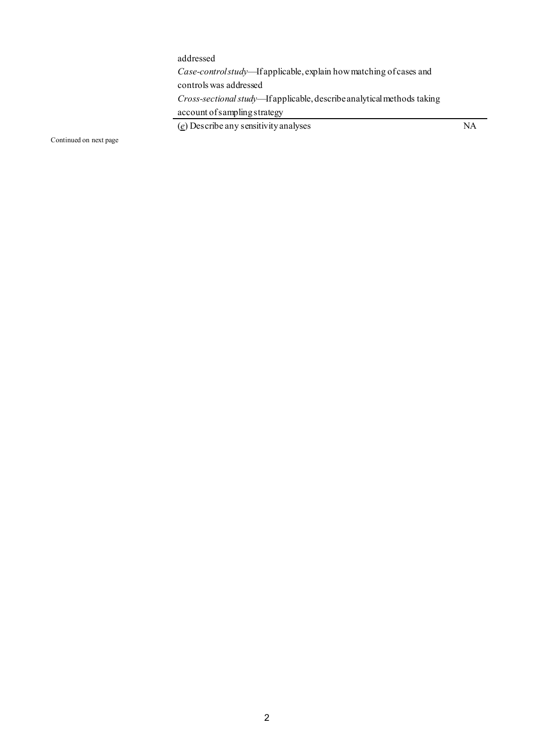addressed *Case-control study*—If applicable, explain how matching of cases and controls was addressed *Cross-sectionalstudy*—If applicable, describe analytical methods taking account of sampling strategy

(*e*) Describe any sensitivity analyses NA

Continued on next page